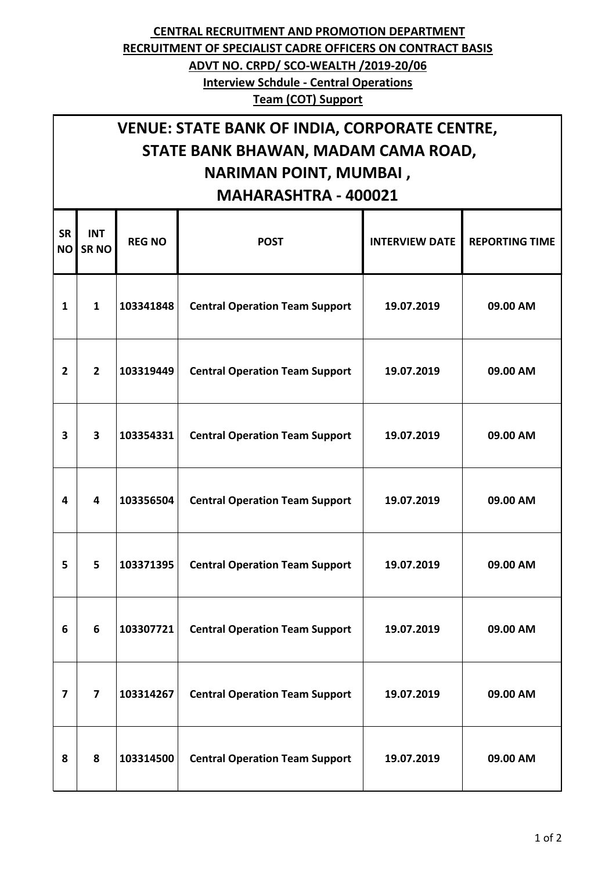## **CENTRAL RECRUITMENT AND PROMOTION DEPARTMENT RECRUITMENT OF SPECIALIST CADRE OFFICERS ON CONTRACT BASIS ADVT NO. CRPD/ SCO-WEALTH /2019-20/06 Interview Schdule - Central Operations Team (COT) Support**

## **VENUE: STATE BANK OF INDIA, CORPORATE CENTRE, STATE BANK BHAWAN, MADAM CAMA ROAD, NARIMAN POINT, MUMBAI , MAHARASHTRA - 400021**

| <b>SR</b><br><b>NO</b> | <b>INT</b><br><b>SR NO</b> | <b>REG NO</b> | <b>POST</b>                           | <b>INTERVIEW DATE</b> | <b>REPORTING TIME</b> |
|------------------------|----------------------------|---------------|---------------------------------------|-----------------------|-----------------------|
| $\mathbf{1}$           | $\mathbf{1}$               | 103341848     | <b>Central Operation Team Support</b> | 19.07.2019            | 09.00 AM              |
| $\overline{2}$         | $\overline{2}$             | 103319449     | <b>Central Operation Team Support</b> | 19.07.2019            | 09.00 AM              |
| 3                      | 3                          | 103354331     | <b>Central Operation Team Support</b> | 19.07.2019            | 09.00 AM              |
| 4                      | 4                          | 103356504     | <b>Central Operation Team Support</b> | 19.07.2019            | 09.00 AM              |
| 5                      | 5                          | 103371395     | <b>Central Operation Team Support</b> | 19.07.2019            | 09.00 AM              |
| 6                      | 6                          | 103307721     | <b>Central Operation Team Support</b> | 19.07.2019            | 09.00 AM              |
| 7                      | $\overline{7}$             | 103314267     | <b>Central Operation Team Support</b> | 19.07.2019            | 09.00 AM              |
| 8                      | 8                          | 103314500     | <b>Central Operation Team Support</b> | 19.07.2019            | 09.00 AM              |